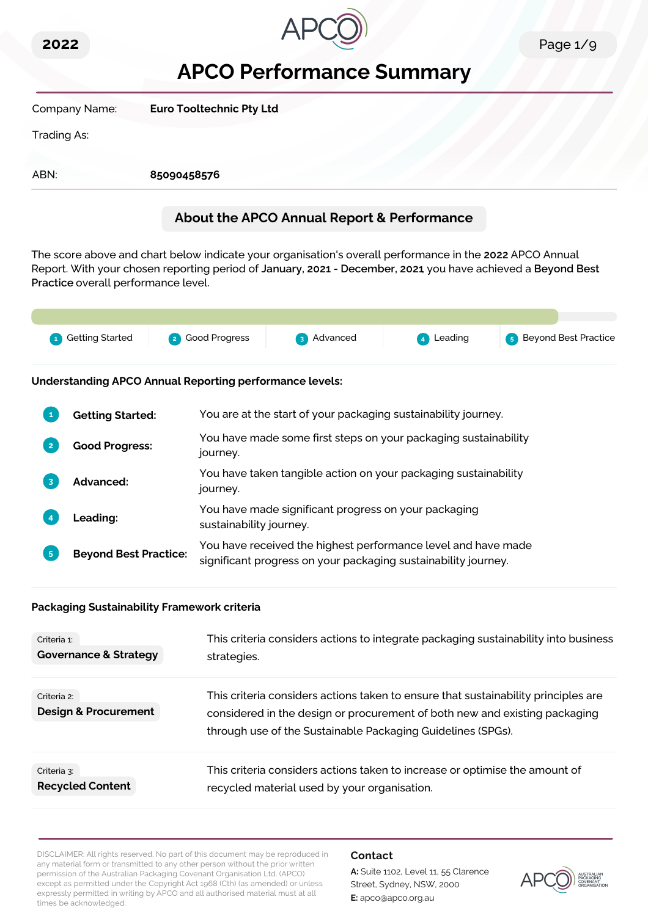



# **APCO Performance Summary**

| Company Name: | <b>Euro Tooltechnic Pty Ltd</b>            |
|---------------|--------------------------------------------|
| Trading As:   |                                            |
| ABN:          | 85090458576                                |
|               | About the APCO Annual Report & Performance |

The score above and chart below indicate your organisation's overall performance in the **2022** APCO Annual Report. With your chosen reporting period of **January, 2021 - December, 2021**, you have achieved a **Beyond Best Practice** overall performance level.

| 4 Getting Started | 2 Good Progress | 3 Advanced | 4 Leading | <b>6</b> Beyond Best Practice |
|-------------------|-----------------|------------|-----------|-------------------------------|
|                   |                 |            |           |                               |

**Understanding APCO Annual Reporting performance levels:**

|    | <b>Getting Started:</b>      | You are at the start of your packaging sustainability journey.                                                                  |
|----|------------------------------|---------------------------------------------------------------------------------------------------------------------------------|
| 12 | <b>Good Progress:</b>        | You have made some first steps on your packaging sustainability<br>journey.                                                     |
| 3  | <b>Advanced:</b>             | You have taken tangible action on your packaging sustainability<br>journey.                                                     |
|    | <b>Leading:</b>              | You have made significant progress on your packaging<br>sustainability journey.                                                 |
| 5  | <b>Beyond Best Practice:</b> | You have received the highest performance level and have made<br>significant progress on your packaging sustainability journey. |

#### **Packaging Sustainability Framework criteria**

| Criteria 1:                                    | This criteria considers actions to integrate packaging sustainability into business                                                                                                                                             |
|------------------------------------------------|---------------------------------------------------------------------------------------------------------------------------------------------------------------------------------------------------------------------------------|
| <b>Governance &amp; Strategy</b>               | strategies.                                                                                                                                                                                                                     |
| Criteria 2:<br><b>Design &amp; Procurement</b> | This criteria considers actions taken to ensure that sustainability principles are<br>considered in the design or procurement of both new and existing packaging<br>through use of the Sustainable Packaging Guidelines (SPGs). |
| Criteria 3:                                    | This criteria considers actions taken to increase or optimise the amount of                                                                                                                                                     |
| <b>Recycled Content</b>                        | recycled material used by your organisation.                                                                                                                                                                                    |

DISCLAIMER: All rights reserved. No part of this document may be reproduced in any material form or transmitted to any other person without the prior written permission of the Australian Packaging Covenant Organisation Ltd. (APCO) except as permitted under the Copyright Act 1968 (Cth) (as amended) or unless expressly permitted in writing by APCO and all authorised material must at all times be acknowledged.

#### **Contact**

**A:** Suite 1102, Level 11, 55 Clarence Street, Sydney, NSW, 2000 **E:** apco@apco.org.au

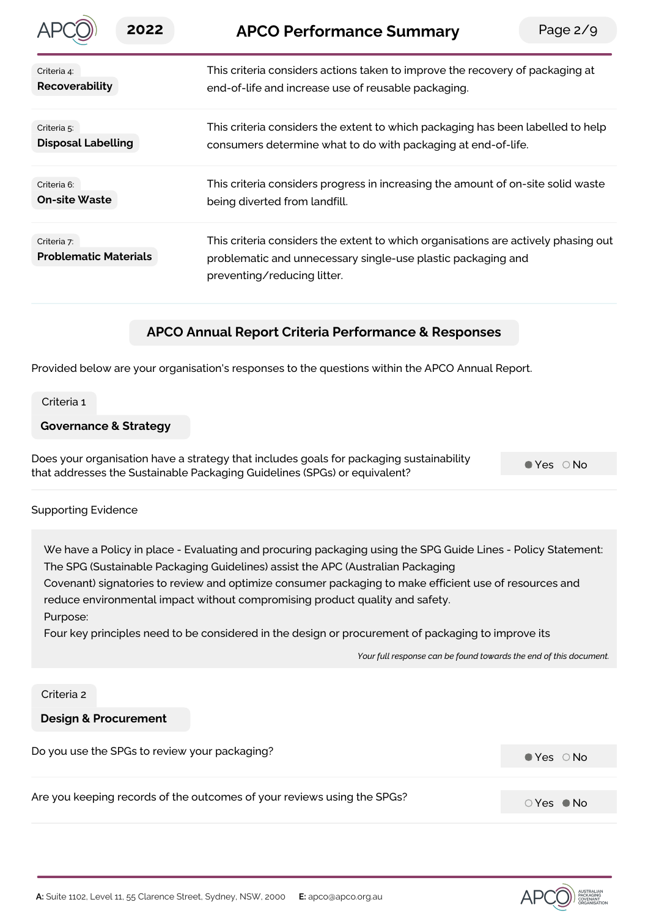|                                             | 2022 | <b>APCO Performance Summary</b>                                                                                                                                                   | Page $2/9$ |
|---------------------------------------------|------|-----------------------------------------------------------------------------------------------------------------------------------------------------------------------------------|------------|
| Criteria 4:<br>Recoverability               |      | This criteria considers actions taken to improve the recovery of packaging at<br>end-of-life and increase use of reusable packaging.                                              |            |
| Criteria 5:<br><b>Disposal Labelling</b>    |      | This criteria considers the extent to which packaging has been labelled to help<br>consumers determine what to do with packaging at end-of-life.                                  |            |
| Criteria 6:<br><b>On-site Waste</b>         |      | This criteria considers progress in increasing the amount of on-site solid waste<br>being diverted from landfill.                                                                 |            |
| Criteria 7:<br><b>Problematic Materials</b> |      | This criteria considers the extent to which organisations are actively phasing out<br>problematic and unnecessary single-use plastic packaging and<br>preventing/reducing litter. |            |
|                                             |      |                                                                                                                                                                                   |            |

# **APCO Annual Report Criteria Performance & Responses**

Provided below are your organisation's responses to the questions within the APCO Annual Report.

Criteria 1

#### **Governance & Strategy**

Does your organisation have a strategy that includes goals for packaging sustainability that addresses the Sustainable Packaging Guidelines (SPGs) or equivalent?

 $Yes$   $\bigcirc$  No

#### Supporting Evidence

We have a Policy in place - Evaluating and procuring packaging using the SPG Guide Lines - Policy Statement: The SPG (Sustainable Packaging Guidelines) assist the APC (Australian Packaging

Covenant) signatories to review and optimize consumer packaging to make efficient use of resources and reduce environmental impact without compromising product quality and safety.

Purpose:

Four key principles need to be considered in the design or procurement of packaging to improve its

*Your full response can be found towards the end of this document.*

#### Criteria 2

# **Design & Procurement**

| Do you use the SPGs to review your packaging?                           | $\bullet$ Yes $\circ$ No |
|-------------------------------------------------------------------------|--------------------------|
|                                                                         |                          |
| Are you keeping records of the outcomes of your reviews using the SPGs? | $\circ$ Yes $\bullet$ No |

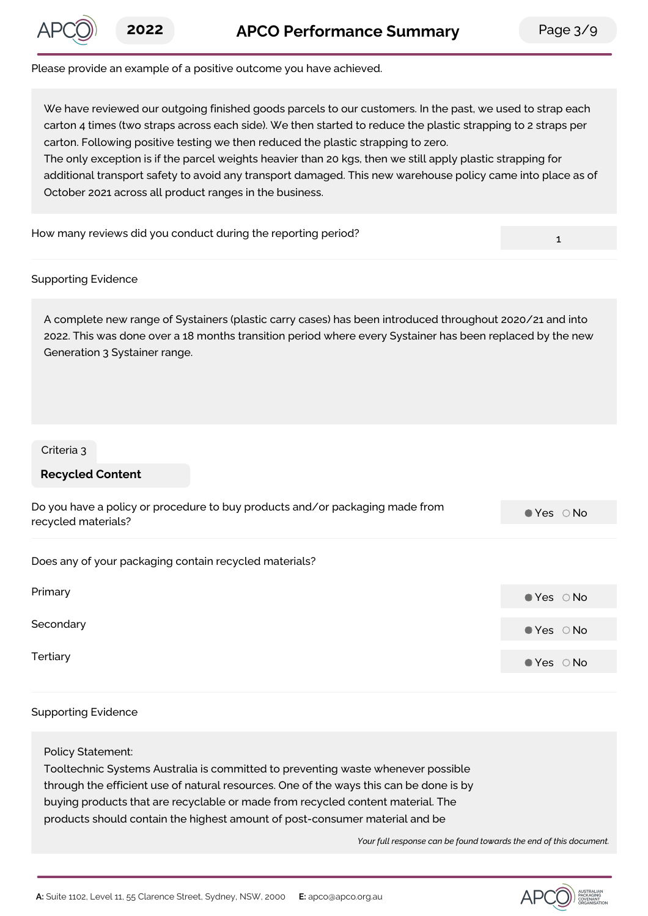

1

#### Please provide an example of a positive outcome you have achieved.

We have reviewed our outgoing finished goods parcels to our customers. In the past, we used to strap each carton 4 times (two straps across each side). We then started to reduce the plastic strapping to 2 straps per carton. Following positive testing we then reduced the plastic strapping to zero. The only exception is if the parcel weights heavier than 20 kgs, then we still apply plastic strapping for additional transport safety to avoid any transport damaged. This new warehouse policy came into place as of October 2021 across all product ranges in the business.

How many reviews did you conduct during the reporting period?

#### Supporting Evidence

A complete new range of Systainers (plastic carry cases) has been introduced throughout 2020/21 and into 2022. This was done over a 18 months transition period where every Systainer has been replaced by the new Generation 3 Systainer range.

#### Criteria 3

#### **Recycled Content**

| Do you have a policy or procedure to buy products and/or packaging made from<br>recycled materials? | $\bullet$ Yes $\circ$ No |
|-----------------------------------------------------------------------------------------------------|--------------------------|
| Does any of your packaging contain recycled materials?                                              |                          |
| Primary                                                                                             | $\bullet$ Yes $\circ$ No |
| Secondary                                                                                           | $\bullet$ Yes $\circ$ No |
| Tertiary                                                                                            | $\bullet$ Yes $\circ$ No |

#### Supporting Evidence

Policy Statement: Tooltechnic Systems Australia is committed to preventing waste whenever possible through the efficient use of natural resources. One of the ways this can be done is by buying products that are recyclable or made from recycled content material. The products should contain the highest amount of post-consumer material and be

*Your full response can be found towards the end of this document.*

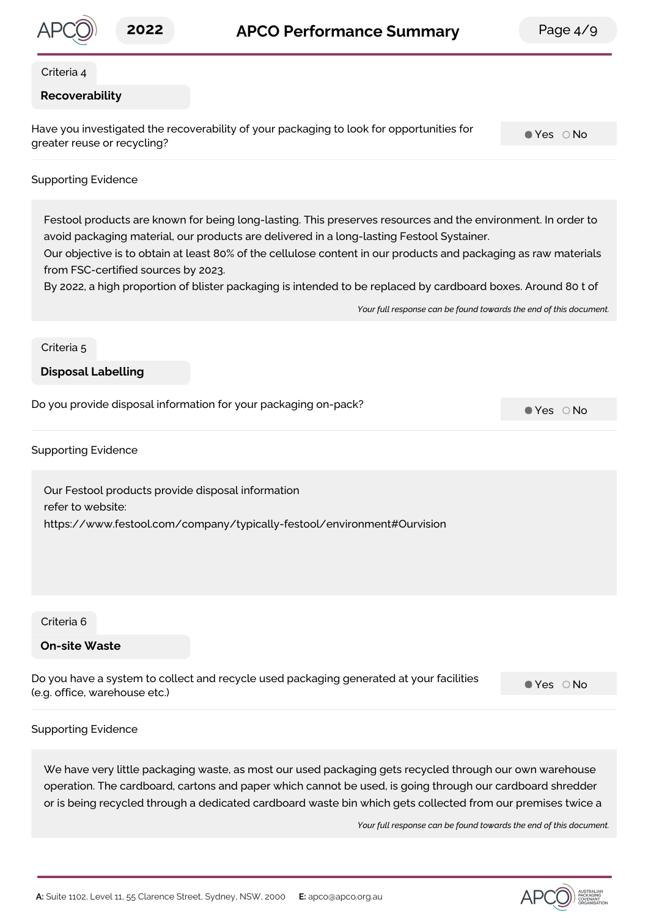

#### Criteria 4

#### **Recoverability**

Have you investigated the recoverability of your packaging to look for opportunities for greater reuse or recycling?

 $Yes$   $\bigcirc$  No

#### Supporting Evidence

Festool products are known for being long-lasting. This preserves resources and the environment. In order to avoid packaging material, our products are delivered in a long-lasting Festool Systainer.

Our objective is to obtain at least 80% of the cellulose content in our products and packaging as raw materials from FSC-certified sources by 2023.

By 2022, a high proportion of blister packaging is intended to be replaced by cardboard boxes. Around 80 t of

*Your full response can be found towards the end of this document.*

#### Criteria 5

#### **Disposal Labelling**

Do you provide disposal information for your packaging on-pack?<br>  $\bullet$  Yes  $\circ$  No

Supporting Evidence

Our Festool products provide disposal information refer to website: https://www.festool.com/company/typically-festool/environment#Ourvision

Criteria 6

#### **On-site Waste**

Do you have a system to collect and recycle used packaging generated at your facilities (e.g. office, warehouse etc.)

 $Yes$   $\bigcirc$  No

#### Supporting Evidence

We have very little packaging waste, as most our used packaging gets recycled through our own warehouse operation. The cardboard, cartons and paper which cannot be used, is going through our cardboard shredder or is being recycled through a dedicated cardboard waste bin which gets collected from our premises twice a

*Your full response can be found towards the end of this document.*

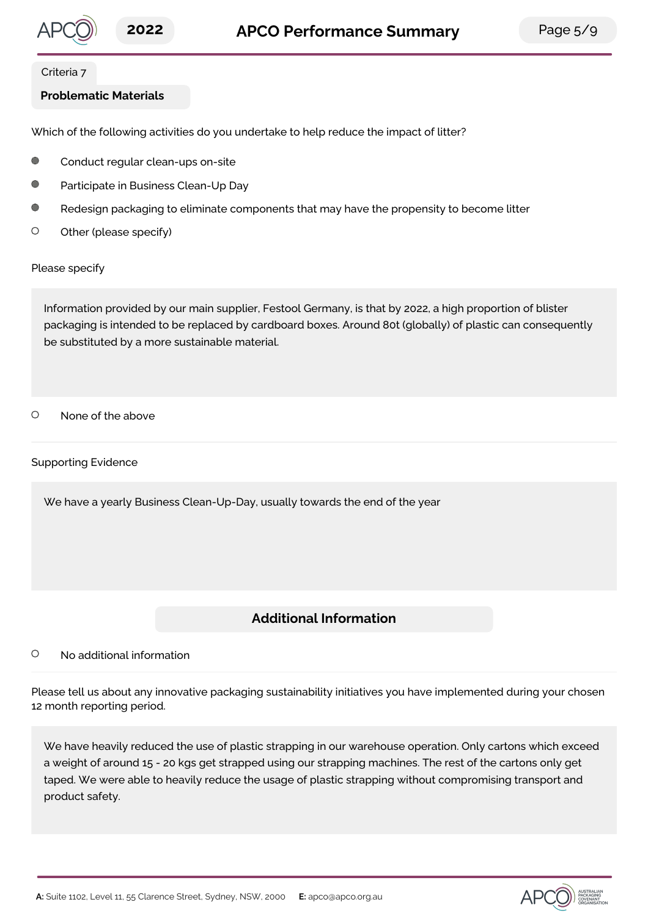

#### Criteria 7

## **Problematic Materials**

Which of the following activities do you undertake to help reduce the impact of litter?

- $\blacksquare$ Conduct regular clean-ups on-site
- $\bigcap$ Participate in Business Clean-Up Day
- $\bigcirc$ Redesign packaging to eliminate components that may have the propensity to become litter
- $\circ$ Other (please specify)

Please specify

Information provided by our main supplier, Festool Germany, is that by 2022, a high proportion of blister packaging is intended to be replaced by cardboard boxes. Around 80t (globally) of plastic can consequently be substituted by a more sustainable material.

 $\circ$ None of the above

Supporting Evidence

We have a yearly Business Clean-Up-Day, usually towards the end of the year

# **Additional Information**

#### $\circ$ No additional information

Please tell us about any innovative packaging sustainability initiatives you have implemented during your chosen 12 month reporting period.

We have heavily reduced the use of plastic strapping in our warehouse operation. Only cartons which exceed a weight of around 15 - 20 kgs get strapped using our strapping machines. The rest of the cartons only get taped. We were able to heavily reduce the usage of plastic strapping without compromising transport and product safety.

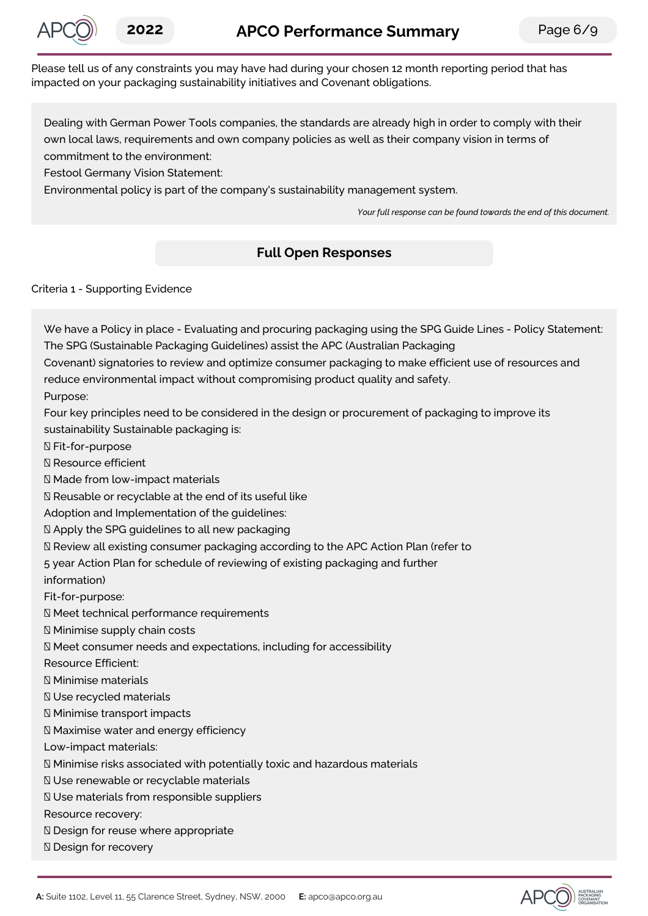

Please tell us of any constraints you may have had during your chosen 12 month reporting period that has impacted on your packaging sustainability initiatives and Covenant obligations.

Dealing with German Power Tools companies, the standards are already high in order to comply with their own local laws, requirements and own company policies as well as their company vision in terms of commitment to the environment:

Festool Germany Vision Statement:

Environmental policy is part of the company's sustainability management system.

*Your full response can be found towards the end of this document.*

# **Full Open Responses**

Criteria 1 - Supporting Evidence

We have a Policy in place - Evaluating and procuring packaging using the SPG Guide Lines - Policy Statement: The SPG (Sustainable Packaging Guidelines) assist the APC (Australian Packaging

Covenant) signatories to review and optimize consumer packaging to make efficient use of resources and reduce environmental impact without compromising product quality and safety.

Purpose:

Four key principles need to be considered in the design or procurement of packaging to improve its sustainability Sustainable packaging is:

Fit-for-purpose

Resource efficient

Made from low-impact materials

Reusable or recyclable at the end of its useful like

Adoption and Implementation of the guidelines:

Apply the SPG guidelines to all new packaging

Review all existing consumer packaging according to the APC Action Plan (refer to

5 year Action Plan for schedule of reviewing of existing packaging and further

information)

Fit-for-purpose:

Meet technical performance requirements

Minimise supply chain costs

Meet consumer needs and expectations, including for accessibility

Resource Efficient:

Minimise materials

Use recycled materials

Minimise transport impacts

Maximise water and energy efficiency

Low-impact materials:

Minimise risks associated with potentially toxic and hazardous materials

Use renewable or recyclable materials

Use materials from responsible suppliers

Resource recovery:

**N** Design for reuse where appropriate

**Ⅳ** Design for recovery

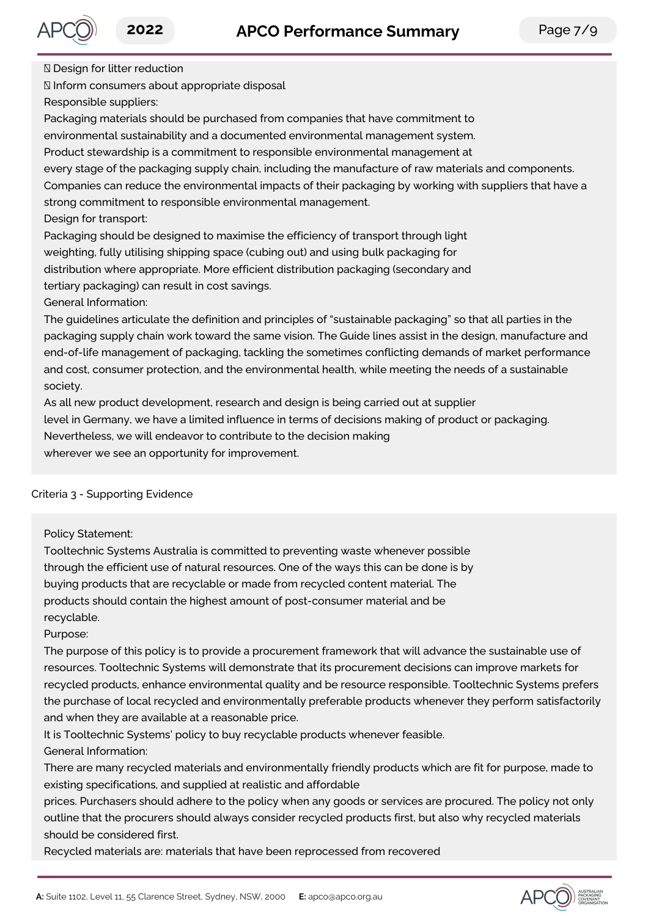

Design for litter reduction

Inform consumers about appropriate disposal

Responsible suppliers:

Packaging materials should be purchased from companies that have commitment to

environmental sustainability and a documented environmental management system.

Product stewardship is a commitment to responsible environmental management at

every stage of the packaging supply chain, including the manufacture of raw materials and components. Companies can reduce the environmental impacts of their packaging by working with suppliers that have a strong commitment to responsible environmental management.

Design for transport:

Packaging should be designed to maximise the efficiency of transport through light weighting, fully utilising shipping space (cubing out) and using bulk packaging for distribution where appropriate. More efficient distribution packaging (secondary and tertiary packaging) can result in cost savings.

General Information:

The guidelines articulate the definition and principles of "sustainable packaging" so that all parties in the packaging supply chain work toward the same vision. The Guide lines assist in the design, manufacture and end-of-life management of packaging, tackling the sometimes conflicting demands of market performance and cost, consumer protection, and the environmental health, while meeting the needs of a sustainable society.

As all new product development, research and design is being carried out at supplier level in Germany, we have a limited influence in terms of decisions making of product or packaging. Nevertheless, we will endeavor to contribute to the decision making wherever we see an opportunity for improvement.

# Criteria 3 - Supporting Evidence

### Policy Statement:

Tooltechnic Systems Australia is committed to preventing waste whenever possible through the efficient use of natural resources. One of the ways this can be done is by buying products that are recyclable or made from recycled content material. The products should contain the highest amount of post-consumer material and be recyclable.

Purpose:

The purpose of this policy is to provide a procurement framework that will advance the sustainable use of resources. Tooltechnic Systems will demonstrate that its procurement decisions can improve markets for recycled products, enhance environmental quality and be resource responsible. Tooltechnic Systems prefers the purchase of local recycled and environmentally preferable products whenever they perform satisfactorily and when they are available at a reasonable price.

It is Tooltechnic Systems' policy to buy recyclable products whenever feasible. General Information:

There are many recycled materials and environmentally friendly products which are fit for purpose, made to existing specifications, and supplied at realistic and affordable

prices. Purchasers should adhere to the policy when any goods or services are procured. The policy not only outline that the procurers should always consider recycled products first, but also why recycled materials should be considered first.

Recycled materials are: materials that have been reprocessed from recovered

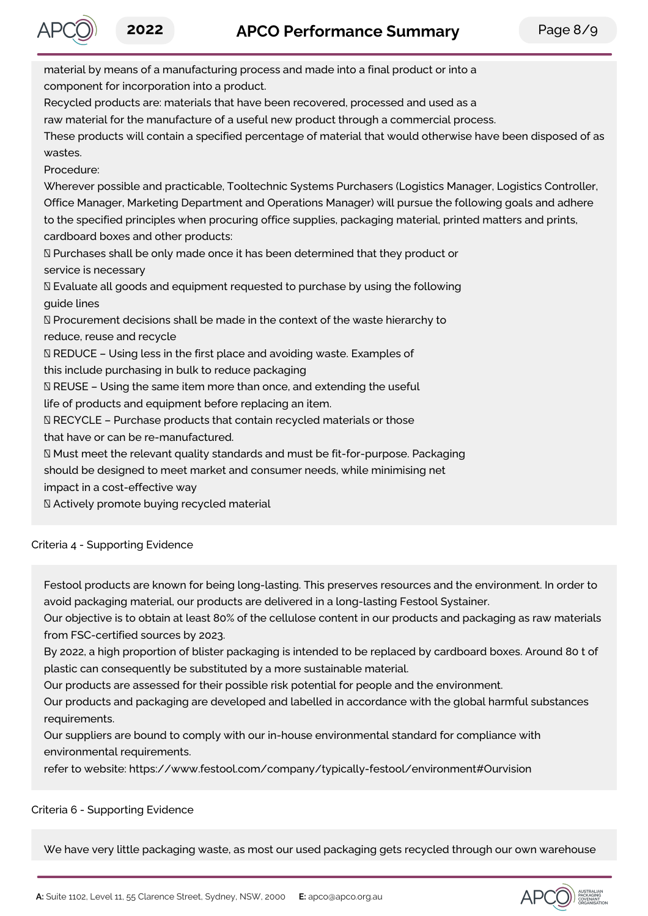

material by means of a manufacturing process and made into a final product or into a component for incorporation into a product. Recycled products are: materials that have been recovered, processed and used as a raw material for the manufacture of a useful new product through a commercial process. These products will contain a specified percentage of material that would otherwise have been disposed of as wastes. Procedure: Wherever possible and practicable, Tooltechnic Systems Purchasers (Logistics Manager, Logistics Controller, Office Manager, Marketing Department and Operations Manager) will pursue the following goals and adhere to the specified principles when procuring office supplies, packaging material, printed matters and prints, cardboard boxes and other products:  $\mathbb D$  Purchases shall be only made once it has been determined that they product or service is necessary Evaluate all goods and equipment requested to purchase by using the following guide lines  $\mathbb N$  Procurement decisions shall be made in the context of the waste hierarchy to reduce, reuse and recycle REDUCE – Using less in the first place and avoiding waste. Examples of this include purchasing in bulk to reduce packaging  $N$  REUSE – Using the same item more than once, and extending the useful life of products and equipment before replacing an item.  $\mathbb N$  RECYCLE – Purchase products that contain recycled materials or those that have or can be re-manufactured. Must meet the relevant quality standards and must be fit-for-purpose. Packaging should be designed to meet market and consumer needs, while minimising net impact in a cost-effective way Actively promote buying recycled material

Criteria 4 - Supporting Evidence

Festool products are known for being long-lasting. This preserves resources and the environment. In order to avoid packaging material, our products are delivered in a long-lasting Festool Systainer.

Our objective is to obtain at least 80% of the cellulose content in our products and packaging as raw materials from FSC-certified sources by 2023.

By 2022, a high proportion of blister packaging is intended to be replaced by cardboard boxes. Around 80 t of plastic can consequently be substituted by a more sustainable material.

Our products are assessed for their possible risk potential for people and the environment.

Our products and packaging are developed and labelled in accordance with the global harmful substances requirements.

Our suppliers are bound to comply with our in-house environmental standard for compliance with environmental requirements.

refer to website: https://www.festool.com/company/typically-festool/environment#Ourvision

# Criteria 6 - Supporting Evidence

We have very little packaging waste, as most our used packaging gets recycled through our own warehouse